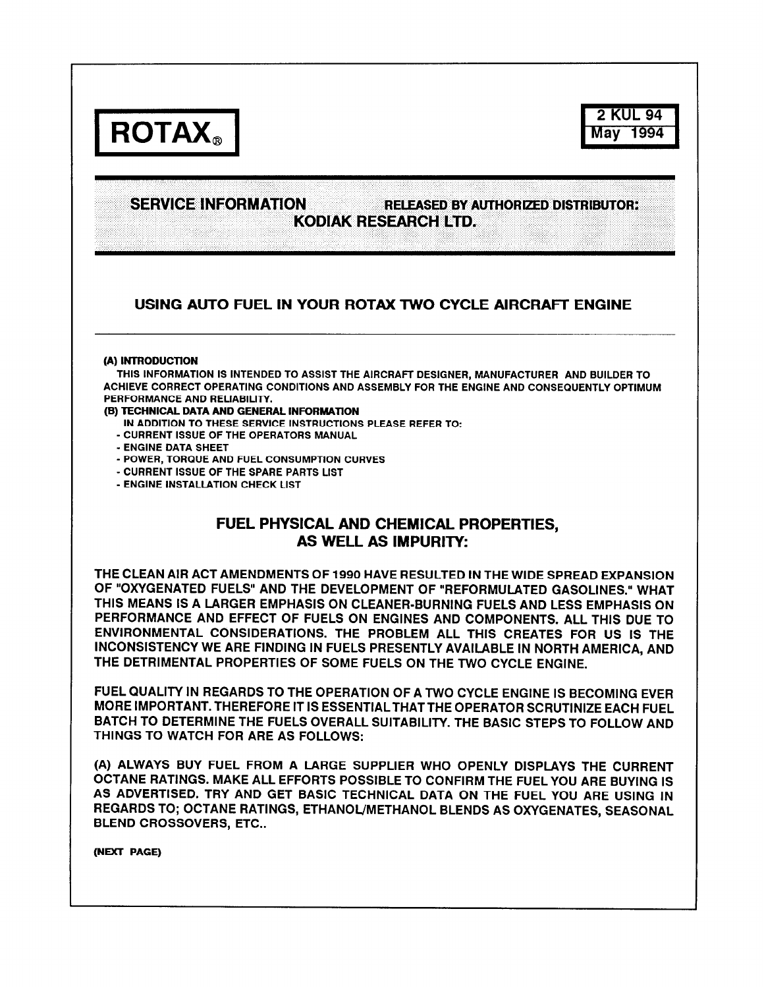

**2 KUL 94 May 1994** 

# **SERVICE INFORMATION TIELEASED BY AUTHORIZED DISTRIBUTOR;**  KODIAK RESEARCH LTD.

## USING AUTO FUEL IN YOUR ROTAX TWO CYCLE AIRCRAFT ENGINE

#### **(A) INTRODUCTION**

**THIS INFORMATION IS INTENDED TO ASSIST THE AIRCRAFT DESIGNER, MANUFACTURER AND BUILDER TO ACHIEVE CORRECT OPERATING CONDITIONS AND ASSEMBLY FOR THE ENGINE AND CONSEQUENTLY OPTIMUM PERFORMANCE AND RELIABILITY.** 

### **(B) TECHNICAL DATA AND GENERAL INFORMATION**

- **IN ADDITION TO THESE SERVICE INSTRUCTIONS PLEASE REFER TO:**
- **CURRENT ISSUE OF THE OPERATORS MANUAL**
- **ENGINE DATA SHEET**
- **POWER, TORQUE AND FUEL CONSUMPTION CURVES**
- **CURRENT ISSUE OF THE SPARE PARTS LIST**
- **ENGINE INSTALLATION CHECK LIST**

# FUEL PHYSICAL AND CHEMICAL PROPERTIES, AS WELL AS IMPURITY:

**THE CLEAN AIR ACT AMENDMENTS OF 1990 HAVE RESULTED IN THE WIDE SPREAD EXPANSION OF "OXYGENATED FUELS" AND THE DEVELOPMENT OF "REFORMULATED GASOLINES." WHAT THIS MEANS IS A LARGER EMPHASIS ON CLEANER-BURNING FUELS AND LESS EMPHASIS ON PERFORMANCE AND EFFECT OF FUELS ON ENGINES AND COMPONENTS. ALL THIS DUE TO ENVIRONMENTAL CONSIDERATIONS. THE PROBLEM ALL THIS CREATES FOR US IS THE INCONSISTENCY WE ARE FINDING IN FUELS PRESENTLY AVAILABLE IN NORTH AMERICA, AND THE DETRIMENTAL PROPERTIES OF SOME FUELS ON THE TWO CYCLE ENGINE.** 

**FUEL QUALITY IN REGARDS TO THE OPERATION OF A TWO CYCLE ENGINE IS BECOMING EVER MORE IMPORTANT. THEREFORE IT IS ESSENTIALTHATTHE OPERATOR SCRUTINIZE EACH FUEL BATCH TO DETERMINE THE FUELS OVERALL SUITABILITY. THE BASIC STEPS TO FOLLOW AND THINGS TO WATCH FOR ARE AS FOLLOWS:** 

**(A) ALWAYS BUY FUEL FROM A LARGE SUPPLIER WHO OPENLY DISPLAYS THE CURRENT OCTANE RATINGS. MAKE ALL EFFORTS POSSIBLE TO CONFIRM THE FUELYOU ARE BUYING IS AS ADVERTISED. TRY AND GET BASIC TECHNICAL DATA ON THE FUEL YOU ARE USING IN REGARDS TO; OCTANE RATINGS, ETHANOL/METHANOL BLENDS AS OXYGENATES, SEASONAL BLEND CROSSOVERS, ETC..** 

**(NEXT PAGE)**